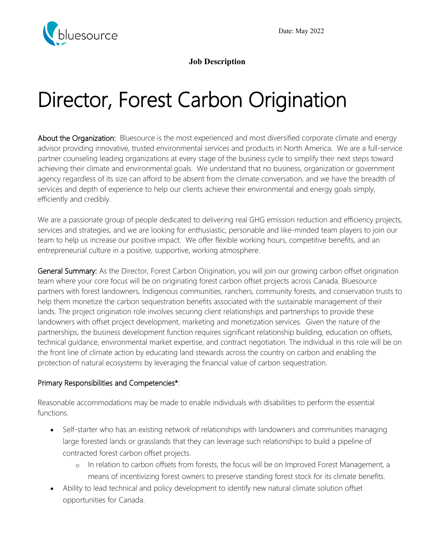

**Job Description**

# Director, Forest Carbon Origination

About the Organization: Bluesource is the most experienced and most diversified corporate climate and energy advisor providing innovative, trusted environmental services and products in North America. We are a full-service partner counseling leading organizations at every stage of the business cycle to simplify their next steps toward achieving their climate and environmental goals. We understand that no business, organization or government agency regardless of its size can afford to be absent from the climate conversation, and we have the breadth of services and depth of experience to help our clients achieve their environmental and energy goals simply, efficiently and credibly.

We are a passionate group of people dedicated to delivering real GHG emission reduction and efficiency projects, services and strategies, and we are looking for enthusiastic, personable and like-minded team players to join our team to help us increase our positive impact. We offer flexible working hours, competitive benefits, and an entrepreneurial culture in a positive, supportive, working atmosphere.

General Summary: As the Director, Forest Carbon Origination, you will join our growing carbon offset origination team where your core focus will be on originating forest carbon offset projects across Canada. Bluesource partners with forest landowners, Indigenous communities, ranchers, community forests, and conservation trusts to help them monetize the carbon sequestration benefits associated with the sustainable management of their lands. The project origination role involves securing client relationships and partnerships to provide these landowners with offset project development, marketing and monetization services. Given the nature of the partnerships, the business development function requires significant relationship building, education on offsets, technical guidance, environmental market expertise, and contract negotiation. The individual in this role will be on the front line of climate action by educating land stewards across the country on carbon and enabling the protection of natural ecosystems by leveraging the financial value of carbon sequestration.

#### Primary Responsibilities and Competencies\*:

Reasonable accommodations may be made to enable individuals with disabilities to perform the essential functions.

- Self-starter who has an existing network of relationships with landowners and communities managing large forested lands or grasslands that they can leverage such relationships to build a pipeline of contracted forest carbon offset projects.
	- o In relation to carbon offsets from forests, the focus will be on Improved Forest Management, a means of incentivizing forest owners to preserve standing forest stock for its climate benefits.
- Ability to lead technical and policy development to identify new natural climate solution offset opportunities for Canada.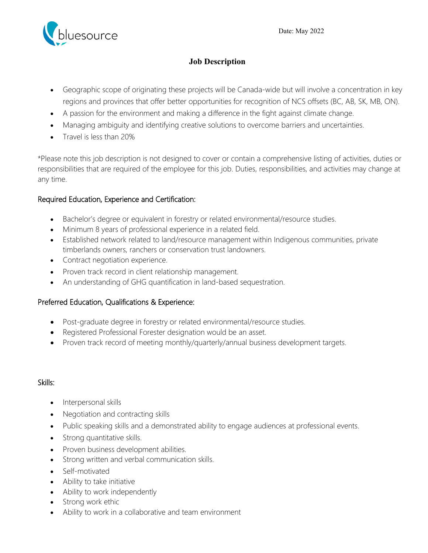

#### **Job Description**

- Geographic scope of originating these projects will be Canada-wide but will involve a concentration in key regions and provinces that offer better opportunities for recognition of NCS offsets (BC, AB, SK, MB, ON).
- A passion for the environment and making a difference in the fight against climate change.
- Managing ambiguity and identifying creative solutions to overcome barriers and uncertainties.
- Travel is less than 20%

\*Please note this job description is not designed to cover or contain a comprehensive listing of activities, duties or responsibilities that are required of the employee for this job. Duties, responsibilities, and activities may change at any time.

#### Required Education, Experience and Certification:

- Bachelor's degree or equivalent in forestry or related environmental/resource studies.
- Minimum 8 years of professional experience in a related field.
- Established network related to land/resource management within Indigenous communities, private timberlands owners, ranchers or conservation trust landowners.
- Contract negotiation experience.
- Proven track record in client relationship management.
- An understanding of GHG quantification in land-based sequestration.

#### Preferred Education, Qualifications & Experience:

- Post-graduate degree in forestry or related environmental/resource studies.
- Registered Professional Forester designation would be an asset.
- Proven track record of meeting monthly/quarterly/annual business development targets.

#### Skills:

- Interpersonal skills
- Negotiation and contracting skills
- Public speaking skills and a demonstrated ability to engage audiences at professional events.
- Strong quantitative skills.
- Proven business development abilities.
- Strong written and verbal communication skills.
- Self-motivated
- Ability to take initiative
- Ability to work independently
- Strong work ethic
- Ability to work in a collaborative and team environment